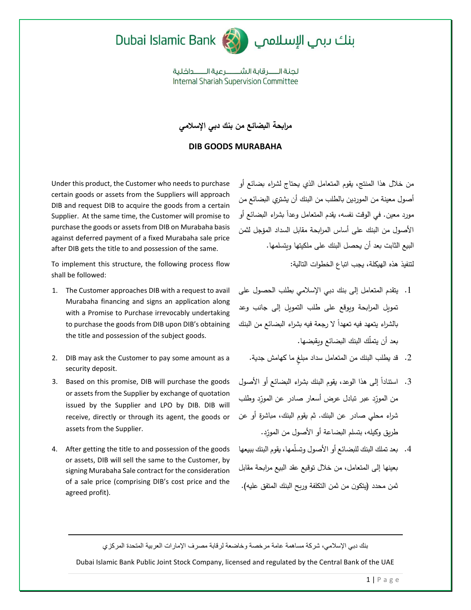



لحنة الـــــر قاية الشـــــــر عبة الـــــــداخلية **Internal Shariah Supervision Committee** 

**مرابحة البضائع من بنك دبي اإلسالمي**

## **DIB GOODS MURABAHA**

Under this product, the Customer who needs to purchase certain goods or assets from the Suppliers will approach DIB and request DIB to acquire the goods from a certain Supplier. At the same time, the Customer will promise to purchase the goods or assets from DIB on Murabaha basis against deferred payment of a fixed Murabaha sale price after DIB gets the title to and possession of the same.

To implement this structure, the following process flow shall be followed:

- 1. The Customer approaches DIB with a request to avail Murabaha financing and signs an application along with a Promise to Purchase irrevocably undertaking to purchase the goods from DIB upon DIB's obtaining the title and possession of the subject goods.
- 2. DIB may ask the Customer to pay some amount as a security deposit.
- 3. Based on this promise, DIB will purchase the goods or assets from the Supplier by exchange of quotation issued by the Supplier and LPO by DIB. DIB will receive, directly or through its agent, the goods or assets from the Supplier.
- 4. After getting the title to and possession of the goods or assets, DIB will sell the same to the Customer, by signing Murabaha Sale contract for the consideration of a sale price (comprising DIB's cost price and the agreed profit).

من خالل هذا المنتج، يقوم المتعامل الذي يحتاج لشراء بضائع أو أصول معينة من الموردين بالطلب من البنك أن يشتري البضائع من مورد معين. في الوقت نفسه، يقدم المتعامل وعداً بشراء البضائع أو األصول من البنك على أساس المرابحة مقابل السداد المؤجل لثمن البيع الثابت بعد أن يحصل البنك على ملكيتها ويتسلمها.

لتنفيذ هذه الهيكلة، يجب اتباع الخطوات التالية:

- .1 يتقدم المتعامل إلى بنك دبي اإلسالمي بطلب الحصول على تمويل المرابحة ويوقع على طلب التمويل إلى جانب وعد بالشراء يتعهد فيه تعهداً لا رجعة فيه بشراء البضائع من البنك بعد أن يتمّلك البنك البضائع ويقبضها.
	- . قد يطلب البنك من المتعامل سداد مبلغ ما كهامش جدية.
- 3. استناداً إلى هذا الوعد، يقوم البنك بشراء البضائع أو الأصول من المورِّدِ عبر تبادل عرض أسعار صادر عن المورِّدِ وطلب شراء محلي صادر عن البنك. ثم يقوم البنك، مباشرة أو عن طريق وكيله، بتسلم البضاعة أو الأصول من المورِّد.
- .4 بعد تملك البنك للبضائع أو األصول وتسّلمها، يقوم البنك ببيعها بعينها إلى المتعامل، من خالل توقيع عقد البيع مرابحة مقابل ثمن محدد (يتكون من ثمن التكلفة وربح البنك المتفق عليه).

بنك دبي اإلسالمي، شركة مساهمة عامة مرخصة وخاضعة لرقابة مصرف اإلمارات العربية المتحدة المركزي

Dubai Islamic Bank Public Joint Stock Company, licensed and regulated by the Central Bank of the UAE